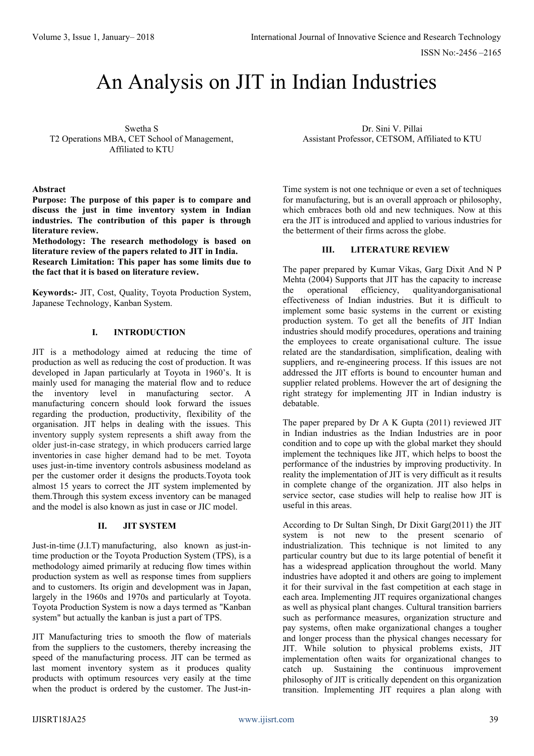# An Analysis on JIT in Indian Industries

Swetha S T2 Operations MBA, CET School of Management, Affiliated to KTU

#### **Abstract**

**Purpose: The purpose of this paper is to compare and discuss the just in time inventory system in Indian industries. The contribution of this paper is through literature review.**

**Methodology: The research methodology is based on literature review of the papers related to JIT in India. Research Limitation: This paper has some limits due to the fact that it is based on literature review.**

**Keywords:-** JIT, Cost, Quality, Toyota Production System, Japanese Technology, Kanban System.

## **I. INTRODUCTION**

JIT is a methodology aimed at reducing the time of production as well as reducing the cost of production. It was developed in Japan particularly at Toyota in 1960's. It is mainly used for managing the material flow and to reduce the inventory level in manufacturing sector. A manufacturing concern should look forward the issues regarding the production, productivity, flexibility of the organisation. JIT helps in dealing with the issues. This inventory supply system represents a shift away from the older just-in-case strategy, in which producers carried [large](https://www.investopedia.com/video/play/reading-inventory-turnover/) [inventories](https://www.investopedia.com/video/play/reading-inventory-turnover/) in case higher demand had to be met. Toyota uses just-in-time inventory controls as[business](https://www.investopedia.com/terms/b/businessmodel.asp) modeland as per the customer order it designs the products.Toyota took almost 15 years to correct the JIT system implemented by them.Through this system excess inventory can be managed and the model is also known as just in case or JIC model.

### **II. JIT SYSTEM**

Just-in-time (J.I.T) manufacturing, also known as just-intime production or the Toyota [Production](https://en.wikipedia.org/wiki/Toyota_Production_System) System (TPS), is a methodology aimed primarily at reducing flow times within production system as well as response times from suppliers and to customers. Its origin and development was in Japan, largely in the 1960s and 1970s and particularly at Toyota. Toyota Production System is now a days termed as "Kanban system" but actually the kanban is just a part of TPS.

JIT Manufacturing tries to smooth the flow of materials from the suppliers to the customers, thereby increasing the speed of the manufacturing process. JIT can be termed as last moment inventory system as it produces quality products with optimum resources very easily at the time when the product is ordered by the customer. The Just-in-

Dr. Sini V. Pillai Assistant Professor, CETSOM, Affiliated to KTU

Time system is not one technique or even a set of techniques for manufacturing, but is an overall approach or philosophy, which embraces both old and new techniques. Now at this era the JIT is introduced and applied to various industries for the betterment of their firms across the globe.

#### **III. LITERATURE REVIEW**

The paper prepared by Kumar Vikas, Garg Dixit And N P Mehta (2004) Supports that JIT has the capacity to increase the operational efficiency, qualityandorganisational effectiveness of Indian industries. But it is difficult to implement some basic systems in the current or existing production system. To get all the benefits of JIT Indian industries should modify procedures, operations and training the employees to create organisational culture. The issue related are the standardisation, simplification, dealing with suppliers, and re-engineering process. If this issues are not addressed the JIT efforts is bound to encounter human and supplier related problems. However the art of designing the right strategy for implementing JIT in Indian industry is debatable.

The paper prepared by Dr A K Gupta (2011) reviewed JIT in Indian industries as the Indian Industries are in poor condition and to cope up with the global market they should implement the techniques like JIT, which helps to boost the performance of the industries by improving productivity. In reality the implementation of JIT is very difficult as it results in complete change of the organization. JIT also helps in service sector, case studies will help to realise how JIT is useful in this areas.

According to Dr Sultan Singh, Dr Dixit Garg(2011) the JIT system is not new to the present scenario of industrialization. This technique is not limited to any particular country but due to its large potential of benefit it has a widespread application throughout the world. Many industries have adopted it and others are going to implement it for their survival in the fast competition at each stage in each area. Implementing JIT requires organizational changes as well as physical plant changes. Cultural transition barriers such as performance measures, organization structure and pay systems, often make organizational changes a tougher and longer process than the physical changes necessary for JIT. While solution to physical problems exists, JIT implementation often waits for organizational changes to catch up. Sustaining the continuous improvement philosophy of JIT is critically dependent on this organization transition. Implementing JIT requires a plan along with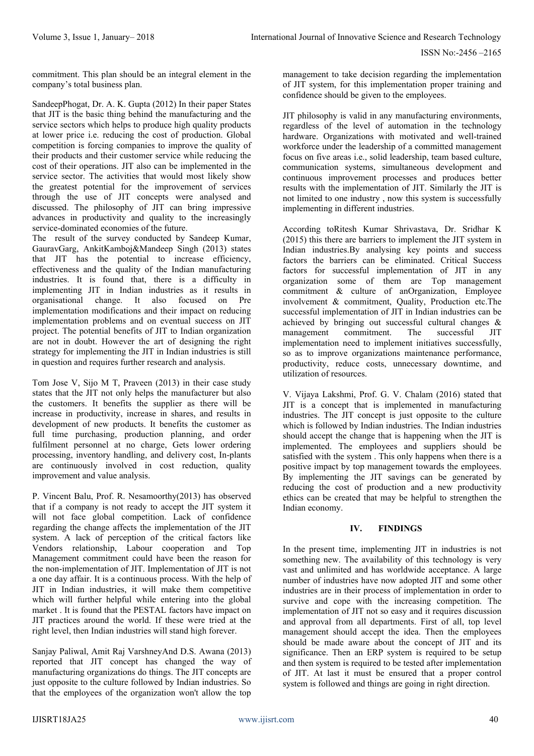commitment. This plan should be an integral element in the company's total business plan.

SandeepPhogat, Dr. A. K. Gupta (2012) In their paper States that JIT is the basic thing behind the manufacturing and the service sectors which helps to produce high quality products at lower price i.e. reducing the cost of production. Global competition is forcing companies to improve the quality of their products and their customer service while reducing the cost of their operations. JIT also can be implemented in the service sector. The activities that would most likely show the greatest potential for the improvement of services through the use of JIT concepts were analysed and discussed. The philosophy of JIT can bring impressive advances in productivity and quality to the increasingly service-dominated economies of the future.

The result of the survey conducted by Sandeep Kumar, GauravGarg, AnkitKamboj&Mandeep Singh (2013) states that JIT has the potential to increase efficiency, effectiveness and the quality of the Indian manufacturing industries. It is found that, there is a difficulty in implementing JIT in Indian industries as it results in organisational change. It also focused on Pre implementation modifications and their impact on reducing implementation problems and on eventual success on JIT project. The potential benefits of JIT to Indian organization are not in doubt. However the art of designing the right strategy for implementing the JIT in Indian industries is still in question and requires further research and analysis.

Tom Jose V, Sijo M T, Praveen (2013) in their case study states that the JIT not only helps the manufacturer but also the customers. It benefits the supplier as there will be increase in productivity, increase in shares, and results in development of new products. It benefits the customer as full time purchasing, production planning, and order fulfilment personnel at no charge, Gets lower ordering processing, inventory handling, and delivery cost, In-plants are continuously involved in cost reduction, quality improvement and value analysis.

P. Vincent Balu, Prof. R. Nesamoorthy(2013) has observed that if a company is not ready to accept the JIT system it will not face global competition. Lack of confidence regarding the change affects the implementation of the JIT system. A lack of perception of the critical factors like Vendors relationship, Labour cooperation and Top Management commitment could have been the reason for the non-implementation of JIT. Implementation of JIT is not a one day affair. It is a continuous process. With the help of JIT in Indian industries, it will make them competitive which will further helpful while entering into the global market . It is found that the PESTAL factors have impact on JIT practices around the world. If these were tried at the right level, then Indian industries will stand high forever.

Sanjay Paliwal, Amit Raj VarshneyAnd D.S. Awana (2013) reported that JIT concept has changed the way of manufacturing organizations do things. The JIT concepts are just opposite to the culture followed by Indian industries. So that the employees of the organization won't allow the top management to take decision regarding the implementation of JIT system, for this implementation proper training and confidence should be given to the employees.

JIT philosophy is valid in any manufacturing environments, regardless of the level of automation in the technology hardware. Organizations with motivated and well-trained workforce under the leadership of a committed management focus on five areas i.e., solid leadership, team based culture, communication systems, simultaneous development and continuous improvement processes and produces better results with the implementation of JIT. Similarly the JIT is not limited to one industry , now this system is successfully implementing in different industries.

According toRitesh Kumar Shrivastava, Dr. Sridhar K (2015) this there are barriers to implement the JIT system in Indian industries.By analysing key points and success factors the barriers can be eliminated. Critical Success factors for successful implementation of JIT in any organization some of them are Top management commitment & culture of anOrganization, Employee involvement & commitment, Quality, Production etc.The successful implementation of JIT in Indian industries can be achieved by bringing out successful cultural changes & management commitment. The successful JIT implementation need to implement initiatives successfully, so as to improve organizations maintenance performance, productivity, reduce costs, unnecessary downtime, and utilization of resources.

V. Vijaya Lakshmi, Prof. G. V. Chalam (2016) stated that JIT is a concept that is implemented in manufacturing industries. The JIT concept is just opposite to the culture which is followed by Indian industries. The Indian industries should accept the change that is happening when the JIT is implemented. The employees and suppliers should be satisfied with the system . This only happens when there is a positive impact by top management towards the employees. By implementing the JIT savings can be generated by reducing the cost of production and a new productivity ethics can be created that may be helpful to strengthen the Indian economy.

# **IV. FINDINGS**

In the present time, implementing JIT in industries is not something new. The availability of this technology is very vast and unlimited and has worldwide acceptance. A large number of industries have now adopted JIT and some other industries are in their process of implementation in order to survive and cope with the increasing competition. The implementation of JIT not so easy and it requires discussion and approval from all departments. First of all, top level management should accept the idea. Then the employees should be made aware about the concept of JIT and its significance. Then an ERP system is required to be setup and then system is required to be tested after implementation of JIT. At last it must be ensured that a proper control system is followed and things are going in right direction.